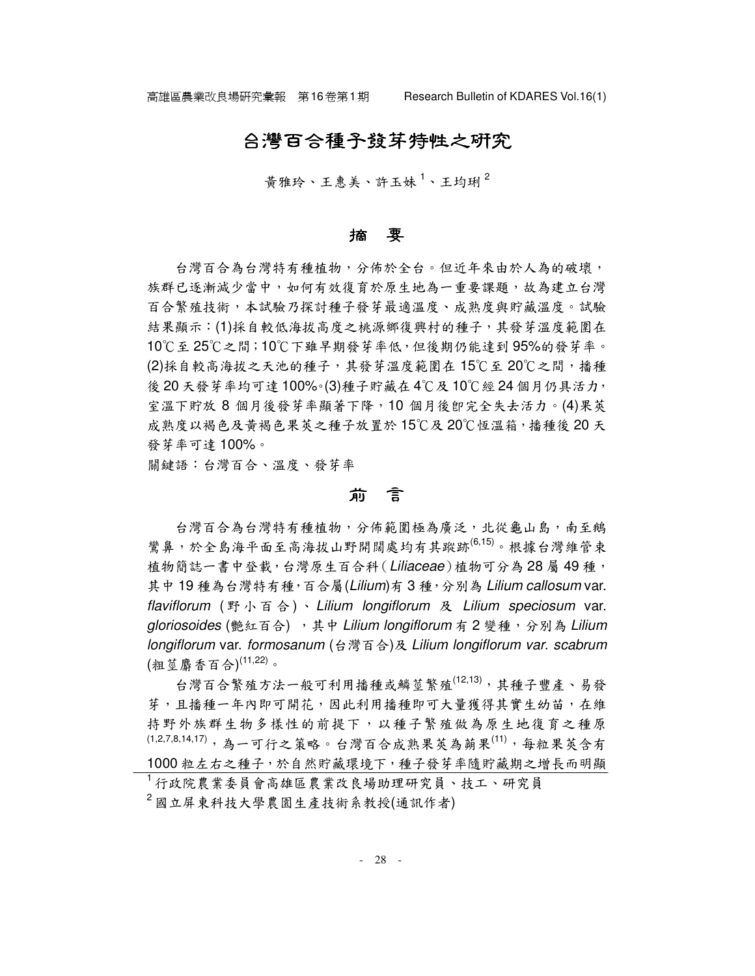## 合灣百合種子發芽特性之研究

昔雅玲、王惠美、許玉妹<sup>1</sup>、王均琍<sup>2</sup>

#### 摘 要

台灣百合為台灣特有種植物,分佈於全台。但近年來由於人為的破壞, 族群已逐漸減少當中,如何有效復育於原生地為一重要課題,故為建立台灣 百合繁殖技術,本試驗乃探討種子發芽最適溫度、成熟度與貯藏溫度。試驗 結果顯示:(1)採自較低海拔高度之桃源鄉復興村的種子,其發芽溫度範圍在 10℃至 25℃之間;10℃下雖早期發芽率低,但後期仍能達到 95%的發芽率。 (2)採自較高海拔之天池的種子,其發芽溫度範圍在15℃至20℃之間,播種 後20天發芽率均可達100%。(3)種子貯藏在4℃及10℃經24個月仍具活力, 室溫下貯放 8 個月後發芽率顯著下降,10 個月後卽完全失去活力。(4)果莢 成熟度以褐色及黃褐色果莢之種子放置於 15℃及 20℃恆溫箱,播種後 20 天 發芽率可達 100%。

關鍵語:台灣百合、溫度、發芽率

### 前 言

台灣百合為台灣特有種植物,分佈範圍極為廣泛,北從龜山島,南至鵝 鸞鼻,於全島海平面至高海拔山野開闊處均有其蹤跡(6,15)。根據台灣維管束 植物簡誌一書中登載,台灣原生百合科 (Liliaceae)植物可分為 28 屬 49 種, 其中19種為台灣特有種,百合屬(Lilium)有3種,分別為 Lilium callosum var. flaviflorum (野小百合)、Lilium longiflorum 及 Lilium speciosum var. gloriosoides (艷紅百合), 其中 Lilium longiflorum 有 2 變種,分別為 Lilium longiflorum var. formosanum (台灣百合)及 Lilium longiflorum var. scabrum (粗莖麝香百合) (11,22)。

台灣百合繁殖方法一般可利用播種或鱗莖繁殖(12,13),其種子豐產、易發 芽,且播種一年內即可開花,因此利用播種即可大量獲得其實生幼苗,在維 持野外族群生物多樣性的前提下,以種子繁殖做為原生地復育之種原 (1,2,7,8,14,17), 為一可行之策略。台灣百合成熟果莢為蒴果<sup>(11)</sup>, 每粒果莢含有 1000 粒左右之種子,於自然貯藏環境下,種子發芽率隨貯藏期之增長而明顯

<sup>1</sup> 行政院農業委員會高雄區農業改良場助理研究員、技工、研究員 <sup>2</sup> 國立屏東科技大學農園生產技術系教授(通訊作者)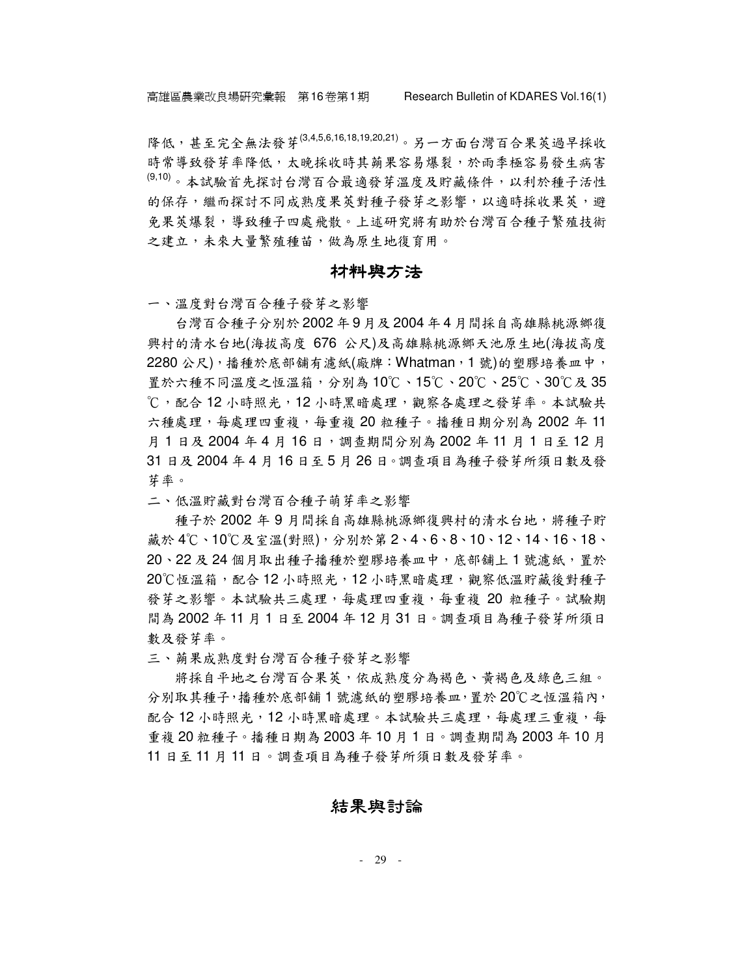降低,甚至完全無法發芽(3,4,5,6,16,18,19,20,21)。另一方面台灣百合果莢過早採收 時常導致發芽率降低,太晚採收時其蒴果容易爆裂,於雨季極容易發生病害 <sup>(9,10)</sup>。本試驗首先探討台灣百合最適發芽溫度及貯藏條件,以利於種子活性 的保存,繼而探討不同成熟度果莢對種子發芽之影響,以適時採收果莢,避 免果莢爆裂,導致種子四處飛散。上述研究將有助於台灣百合種子繁殖技術 之建立,未來大量繁殖種苗,做為原生地復育用。

#### 材料與方法

一、溫度對台灣百合種子發芽之影響

台灣百合種子分別於 2002 年 9 月及 2004 年 4 月間採自高雄縣桃源鄉復 興村的清水台地(海拔高度 676 公尺)及高雄縣桃源鄉天池原生地(海拔高度 2280 公尺),播種於底部舖有濾紙(廠牌:Whatman,1 號)的塑膠培養皿中, 置於六種不同溫度之恆溫箱,分別為 10℃、15℃、20℃、25℃、30℃及 35 ℃,配合 12 小時照光, 12 小時黑暗處理,觀察各處理之發芽率。本試驗共 六種處理,每處理四重複,每重複 20 粒種子。播種日期分別為 2002 年 11 月1日及 2004年4月16日,調查期間分別為 2002年11月1日至12月 31 日及 2004 年 4 月 16 日至 5 月 26 日。調查項目為種子發芽所須日數及發 芽率。

二、低溫貯藏對台灣百合種子萌芽率之影響

種子於 2002 年 9 月間採自高雄縣桃源鄉復興村的清水台地,將種子貯 藏於 4℃、10℃及室溫(對照),分別於第 2、4、6、8、10、12、14、16、18、 20、22 及 24 個月取出種子播種於塑膠培養皿中, 底部舖上 1 號濾紙, 置於 20℃恆溫箱,配合 12 小時照光,12 小時黑暗處理, 觀察低溫貯藏後對種子 發芽之影響。本試驗共三處理,每處理四重複,每重複 20 粒種子。試驗期 間為 2002 年 11 月 1 日至 2004 年 12 月 31 日。調查項目為種子發芽所須日 數及發芽率。

三、蒴果成熟度對台灣百合種子發芽之影響

將採自平地之台灣百合果莢,依成熟度分為褐色、黃褐色及綠色三組。 分別取其種子,播種於底部舖 1 號濾紙的塑膠培養皿,置於 20℃之恆溫箱內, 配合 12 小時照光, 12 小時黑暗處理。本試驗共三處理,每處理三重複,每 重複 20 粒種子。播種日期為 2003 年 10 月 1 日。調查期間為 2003 年 10 月 11 日至 11 月 11 日。調查項目為種子發芽所須日數及發芽率。

#### 結果與討論

- 29 -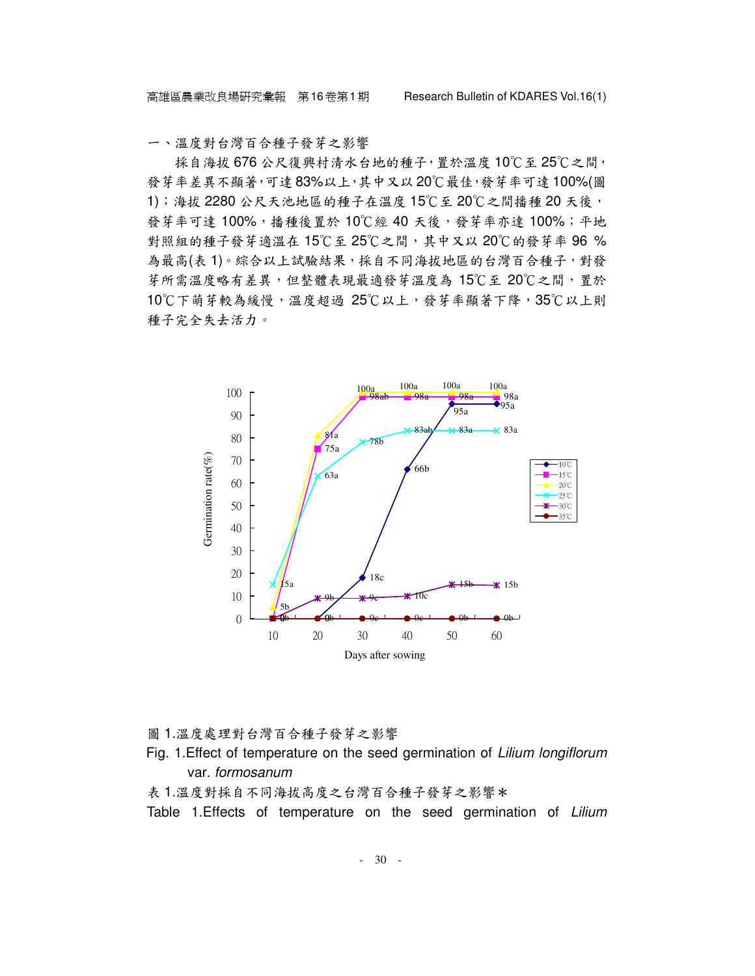一、溫度對台灣百合種子發芽之影響

採自海拔 676公尺復興村清水台地的種子,置於溫度 10℃至 25℃之間, 發芽率差異不顯著,可達 83%以上,其中又以 20℃最佳,發芽率可達 100%(圖 1);海拔 2280 公尺天池地區的種子在溫度 15℃至 20℃之間播種 20 天後, 發芽率可達 100%,播種後置於 10℃經 40 天後,發芽率亦達 100%;平地 對照組的種子發芽適溫在 15℃至 25℃之間,其中又以 20℃的發芽率 96 % 為最高(表1)。綜合以上試驗結果,採自不同海拔地區的台灣百合種子,對發 芽所需溫度略有差異,但整體表現最適發芽溫度為 15℃至 20℃之間,置於 10℃下萌芽較為緩慢,溫度超過 25℃以上,發芽率顯著下降,35℃以上則 種子完全失去活力。



圖 1.溫度處理對台灣百合種子發芽之影響

- Fig. 1.Effect of temperature on the seed germination of Lilium longiflorum var. formosanum
- 表1.溫度對採自不同海拔高度之台灣百合種子發芽之影響\*
- Table 1. Effects of temperature on the seed germination of Lilium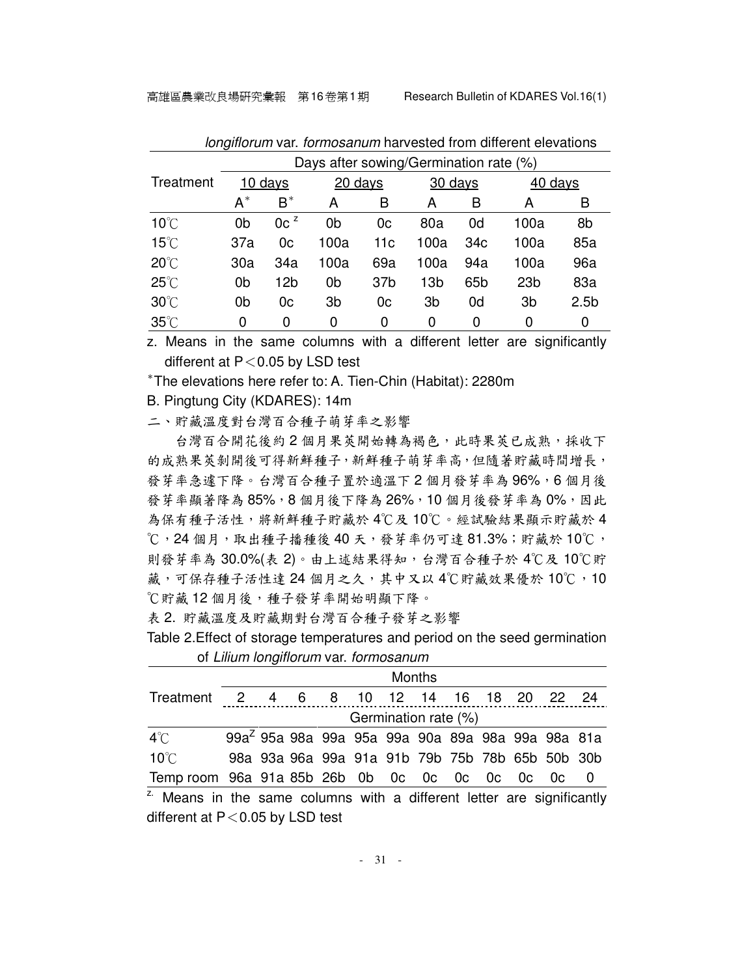|                | Days after sowing/Germination rate (%) |                 |                |                 |                 |                 |                 |                  |  |  |
|----------------|----------------------------------------|-----------------|----------------|-----------------|-----------------|-----------------|-----------------|------------------|--|--|
| Treatment      | $10 \frac{days}{9}$                    |                 | $20$ days      |                 | 30 days         |                 | 40 days         |                  |  |  |
|                | $A^*$                                  | $B^*$           | Α              | B               | А               | B               | А               | B                |  |  |
| $10^{\circ}$ C | 0 <sub>b</sub>                         | 0c <sup>z</sup> | 0b             | 0c              | 80a             | 0d              | 100a            | 8b               |  |  |
| $15^{\circ}$ C | 37a                                    | 0 <sub>c</sub>  | 100a           | 11c             | 100a            | 34c             | 100a            | 85a              |  |  |
| $20^{\circ}$ C | 30a                                    | 34a             | 100a           | 69a             | 100a            | 94a             | 100a            | 96a              |  |  |
| $25^{\circ}$ C | 0 <sub>b</sub>                         | 12b             | 0 <sub>b</sub> | 37 <sub>b</sub> | 13 <sub>b</sub> | 65 <sub>b</sub> | 23 <sub>b</sub> | 83a              |  |  |
| $30^{\circ}$ C | 0 <sub>b</sub>                         | 0c              | 3b             | 0c              | 3 <sub>b</sub>  | 0d              | 3 <sub>b</sub>  | 2.5 <sub>b</sub> |  |  |
| $35^{\circ}$ C | 0                                      | 0               | 0              | 0               | 0               | 0               | 0               | 0                |  |  |

longiflorum var. formosanum harvested from different elevations

z. Means in the same columns with a different letter are significantly different at  $P < 0.05$  by LSD test

\* The elevations here refer to: A. Tien-Chin (Habitat): 2280m

B. Pingtung City (KDARES): 14m

二、貯藏溫度對台灣百合種子萌芽率之影響

台灣百合開花後約2個月果莢開始轉為褐色,此時果莢已成熟,採收下 的成熟果莢剝開後可得新鮮種子,新鮮種子萌芽率高,但隨著貯藏時間增長, 發芽率急遽下降。台灣百合種子置於適溫下2個月發芽率為96%,6個月後 發芽率顯著降為 85%,8個月後下降為 26%,10個月後發芽率為 0%,因此 為保有種子活性,將新鮮種子貯藏於 4℃及 10℃。經試驗結果顯示貯藏於 4 ℃,24 個月,取出種子播種後 40 天,發芽率仍可達 81.3%;貯藏於 10℃, 則發芽率為 30.0%(表 2)。由上述結果得知,台灣百合種子於 4℃及 10℃貯 藏,可保存種子活性達 24 個月之久,其中又以 4℃貯藏效果優於 10℃,10 ℃貯藏12個月後,種子發芽率開始明顯下降。

表 2. 貯藏溫度及貯藏期對台灣百合種子發芽之影響

Table 2.Effect of storage temperatures and period on the seed germination of Lilium longiflorum var. formosanum

|                                                                                   | <b>Months</b>                                                |  |  |  |  |  |                                                 |  |  |  |                |
|-----------------------------------------------------------------------------------|--------------------------------------------------------------|--|--|--|--|--|-------------------------------------------------|--|--|--|----------------|
| Treatment 2 4 6 8 10 12 14 16 18 20 22 24                                         |                                                              |  |  |  |  |  |                                                 |  |  |  |                |
|                                                                                   | Germination rate (%)                                         |  |  |  |  |  |                                                 |  |  |  |                |
| $4^\circ$ C                                                                       | 99a <sup>2</sup> 95a 98a 99a 95a 99a 90a 89a 98a 99a 98a 81a |  |  |  |  |  |                                                 |  |  |  |                |
| $10^{\circ}$ C                                                                    |                                                              |  |  |  |  |  | 98a 93a 96a 99a 91a 91b 79b 75b 78b 65b 50b 30b |  |  |  |                |
| Temp room 96a 91a 85b 26b 0b 0c 0c 0c 0c 0c 0c 0c                                 |                                                              |  |  |  |  |  |                                                 |  |  |  | $\overline{0}$ |
| <sup>z.</sup> Means in the same columns with a different letter are significantly |                                                              |  |  |  |  |  |                                                 |  |  |  |                |

different at  $P < 0.05$  by LSD test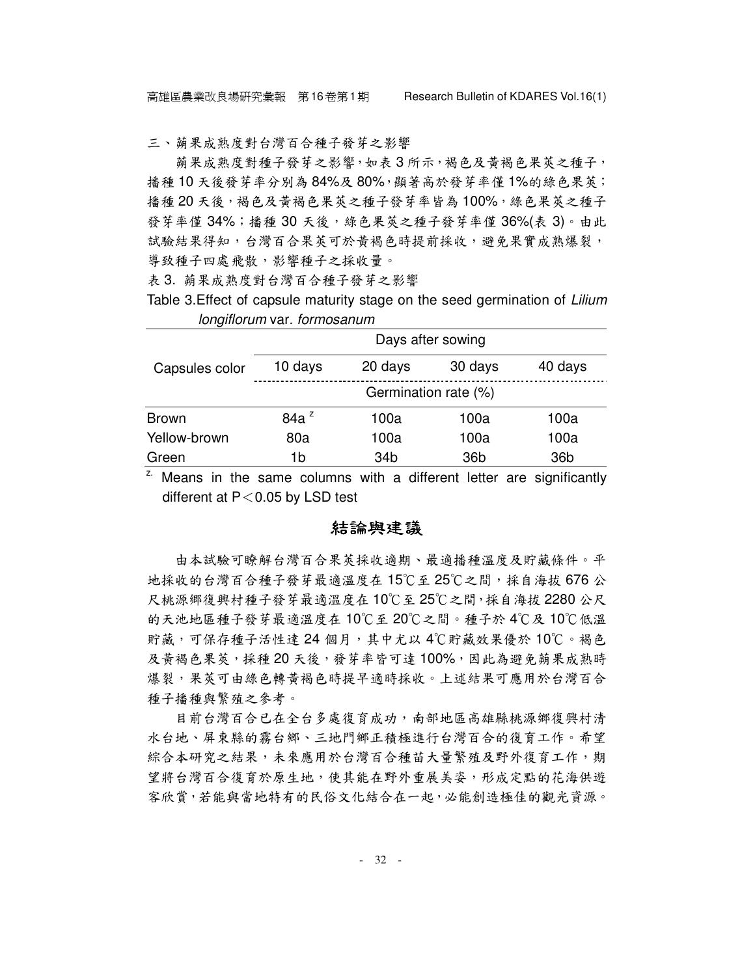三、蒴果成熟度對台灣百合種子發芽之影響

蒴果成熟度對種子發芽之影響,如表 3 所示,褐色及黃褐色果莢之種子, 播種 10 天後發芽率分別為 84%及 80%,顯著高於發芽率僅 1%的綠色果莢; 播種 20 天後,褐色及黃褐色果莢之種子發芽率皆為 100%,綠色果莢之種子 發芽率僅 34%;播種 30 天後,綠色果萊之種子發芽率僅 36%(表 3)。由此 試驗結果得知,台灣百合果莢可於黃褐色時提前採收,避免果實成熟爆裂, 導致種子四處飛散,影響種子之採收量。

表 3. 蒴果成熟度對台灣百合種子發芽之影響

Table 3. Effect of capsule maturity stage on the seed germination of Lilium longiflorum var. formosanum

|                | Days after sowing    |         |                 |                 |  |  |  |  |  |
|----------------|----------------------|---------|-----------------|-----------------|--|--|--|--|--|
| Capsules color | 10 days              | 20 days | 30 days         | 40 days         |  |  |  |  |  |
|                | Germination rate (%) |         |                 |                 |  |  |  |  |  |
| <b>Brown</b>   | 84a <sup>z</sup>     | 100a    | 100a            | 100a            |  |  |  |  |  |
| Yellow-brown   | 80a                  | 100a    | 100a            | 100a            |  |  |  |  |  |
| Green          | 1b                   | 34b     | 36 <sub>b</sub> | 36 <sub>b</sub> |  |  |  |  |  |

<sup>z.</sup> Means in the same columns with a different letter are significantly different at  $P < 0.05$  by LSD test

#### 結論與建議

由本試驗可瞭解台灣百合果莢採收適期、最適播種溫度及貯藏條件。平 地採收的台灣百合種子發芽最適溫度在 15℃至 25℃之間,採自海拔 676 公 尺桃源郷復興村種子發芽最適溫度在10℃至25℃之間,採自海拔2280公尺 的天池地區種子發芽最適溫度在 10℃至 20℃之間。種子於 4℃及 10℃低溫 貯藏,可保存種子活性達 24 個月,其中尤以 4℃貯藏效果優於 10℃。褐色 及黃褐色果莢,採種20天後,發芽率皆可達100%,因此為避免蒴果成熟時 爆裂,果萊可由綠色轉黃褐色時提早適時採收。上述結果可應用於台灣百合 種子播種與繁殖之參考。

目前台灣百合已在全台多處復育成功,南部地區高雄縣桃源鄉復興村清 水台地、屏東縣的霧台鄉、三地門鄉正積極進行台灣百合的復育工作。希望 綜合本研究之結果,未來應用於台灣百合種苗大量繁殖及野外復育工作,期 望將台灣百合復育於原生地,使其能在野外重展美姿,形成定點的花海供遊 客欣賞,若能與當地特有的民俗文化結合在一起,必能創造極佳的觀光資源。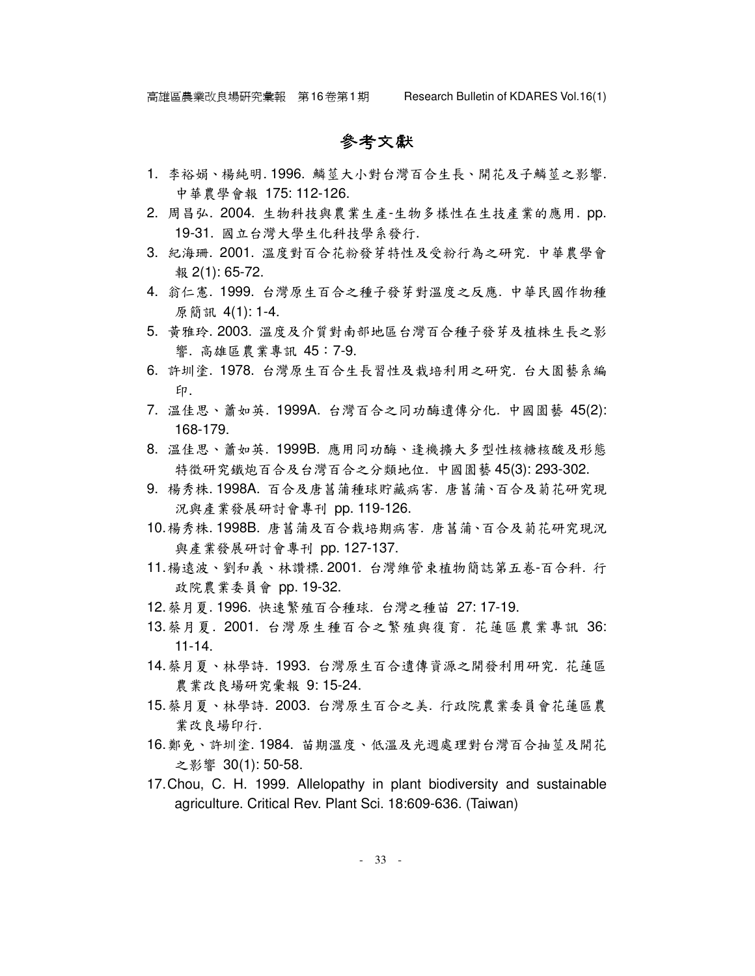```
參考文獻
```
- 1. 李裕娟、楊純明. 1996. 鱗莖大小對台灣百合生長、開花及子鱗莖之影響. 中華農學會報 175: 112-126.
- 2. 周昌弘. 2004. 生物科技與農業生產-生物多樣性在生技產業的應用. pp. 19-31. 國立台灣大學生化科技學系發行.
- 3. 紀海珊. 2001. 溫度對百合花粉發芽特性及受粉行為之研究. 中華農學會 報 2(1): 65-72.
- 4. 翁仁憲. 1999. 台灣原生百合之種子發芽對溫度之反應. 中華民國作物種 原簡訊 4(1): 1-4.
- 5. 黃雅玲. 2003. 溫度及介質對南部地區台灣百合種子發芽及植株生長之影 響. 高雄區農業專訊 45:7-9.
- 6. 許圳塗. 1978. 台灣原生百合生長習性及栽培利用之研究. 台大園藝系編 印.
- 7. 溫佳思、蕭如英. 1999A. 台灣百合之同功酶遺傳分化. 中國園藝 45(2): 168-179.
- 8. 溫佳思、蕭如英. 1999B. 應用同功酶、逢機擴大多型性核糖核酸及形態 特徵研究鐵炮百合及台灣百合之分類地位. 中國園藝 45(3): 293-302.
- 9. 楊秀株. 1998A. 百合及唐菖蒲種球貯藏病害. 唐菖蒲、百合及菊花研究現 況與產業發展研討會專刊 pp. 119-126.
- 10. 楊秀株. 1998B. 唐菖蒲及百合栽培期病害. 唐菖蒲、百合及菊花研究現況 與產業發展研討會專刊 pp. 127-137.
- 11. 楊遠波、劉和義、林讚標. 2001. 台灣維管束植物簡誌第五卷-百合科. 行 政院農業委員會 pp. 19-32.
- 12. 蔡月夏. 1996. 快速繁殖百合種球. 台灣之種苗 27: 17-19.
- 13. 蔡月夏. 2001. 台灣原生種百合之繁殖與復育. 花蓮區農業專訊 36: 11-14.
- 14. 蔡月夏、林學詩. 1993. 台灣原生百合遺傳資源之開發利用研究. 花蓮區 農業改良場研究彙報 9: 15-24.
- 15. 蔡月夏、林學詩. 2003. 台灣原生百合之美. 行政院農業委員會花蓮區農 業改良場印行.
- 16. 鄭免、許圳塗. 1984. 苗期溫度、低溫及光週處理對台灣百合抽莖及開花 之影響 30(1): 50-58.
- 17. Chou, C. H. 1999. Allelopathy in plant biodiversity and sustainable agriculture. Critical Rev. Plant Sci. 18:609-636. (Taiwan)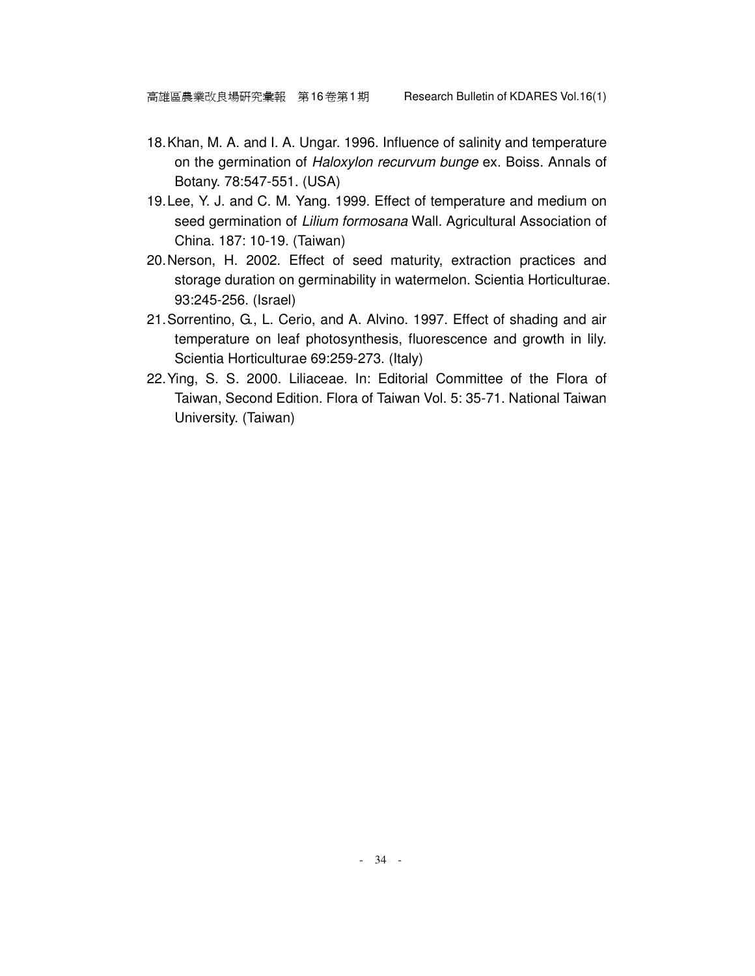- 18. Khan, M. A. and I. A. Ungar. 1996. Influence of salinity and temperature on the germination of Haloxylon recurvum bunge ex. Boiss. Annals of Botany. 78:547-551. (USA)
- 19. Lee, Y. J. and C. M. Yang. 1999. Effect of temperature and medium on seed germination of Lilium formosana Wall. Agricultural Association of China. 187: 10-19. (Taiwan)
- 20. Nerson, H. 2002. Effect of seed maturity, extraction practices and storage duration on germinability in watermelon. Scientia Horticulturae. 93:245-256. (Israel)
- 21. Sorrentino, G., L. Cerio, and A. Alvino. 1997. Effect of shading and air temperature on leaf photosynthesis, fluorescence and growth in lily. Scientia Horticulturae 69:259-273. (Italy)
- 22. Ying, S. S. 2000. Liliaceae. In: Editorial Committee of the Flora of Taiwan, Second Edition. Flora of Taiwan Vol. 5: 35-71. National Taiwan University. (Taiwan)